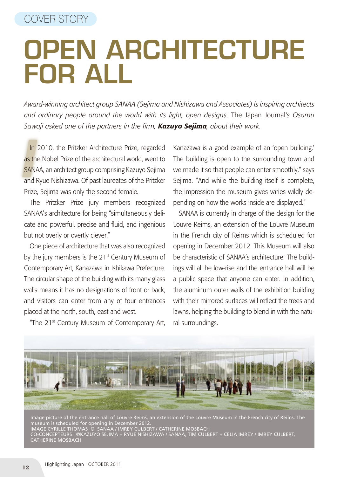## Open Architecture for All

*Award-winning architect group SANAA (Sejima and Nishizawa and Associates) is inspiring architects and ordinary people around the world with its light, open designs.* The Japan Journal*'s Osamu Sawaji asked one of the partners in the firm, Kazuyo Sejima, about their work.*

**In** 2010, the Pritzker Architecture Prize, regarded as the Nobel Prize of the architectural world, went to SANAA, an architect group comprising Kazuyo Sejima In 2010, the Pritzker Architecture Prize, regarded as the Nobel Prize of the architectural world, went to and Ryue Nishizawa. Of past laureates of the Pritzker Prize, Sejima was only the second female.

The Pritzker Prize jury members recognized SANAA's architecture for being "simultaneously delicate and powerful, precise and fluid, and ingenious but not overly or overtly clever."

One piece of architecture that was also recognized by the jury members is the 21<sup>st</sup> Century Museum of Contemporary Art, Kanazawa in Ishikawa Prefecture. The circular shape of the building with its many glass walls means it has no designations of front or back, and visitors can enter from any of four entrances placed at the north, south, east and west.

"The 21st Century Museum of Contemporary Art,

Kanazawa is a good example of an 'open building.' The building is open to the surrounding town and we made it so that people can enter smoothly," says Sejima. "And while the building itself is complete, the impression the museum gives varies wildly depending on how the works inside are displayed."

SANAA is currently in charge of the design for the Louvre Reims, an extension of the Louvre Museum in the French city of Reims which is scheduled for opening in December 2012. This Museum will also be characteristic of SANAA's architecture. The buildings will all be low-rise and the entrance hall will be a public space that anyone can enter. In addition, the aluminum outer walls of the exhibition building with their mirrored surfaces will reflect the trees and lawns, helping the building to blend in with the natural surroundings.



Image picture of the entrance hall of Louvre Reims, an extension of the Louvre Museum in the French city of Reims. The museum is scheduled for opening in December 2012. IMAGE CYRILLE THOMAS © SANAA / IMREY CULBERT / CATHERINE MOSBACH CO-CONCEPTEURS : ©KAZUYO SEJIMA + RYUE NISHIZAWA / SANAA, TIM CULBERT + CELIA IMREY / IMREY CULBERT, CATHERINE MOSBACH